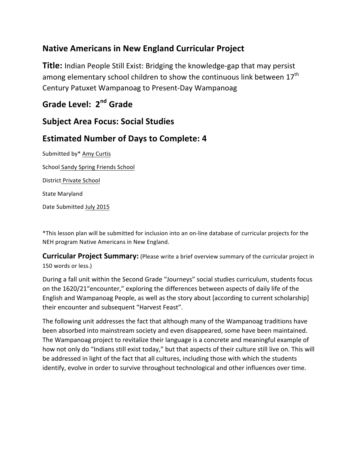## **Native Americans in New England Curricular Project**

**Title:** Indian People Still Exist: Bridging the knowledge-gap that may persist among elementary school children to show the continuous link between  $17<sup>th</sup>$ Century Patuxet Wampanoag to Present-Day Wampanoag

## **Grade Level: 2<sup>nd</sup> Grade**

## **Subject'Area'Focus: Social'Studies**

## **Estimated Number of Days to Complete: 4**

Submitted by\* Amy Curtis School Sandy Spring Friends School District Private School State Maryland Date Submitted July 2015

\*This lesson plan will be submitted for inclusion into an on-line database of curricular projects for the NEH program Native Americans in New England.

**Curricular Project Summary:** (Please write a brief overview summary of the curricular project in 150 words or less.)

During a fall unit within the Second Grade "Journeys" social studies curriculum, students focus on the 1620/21"encounter," exploring the differences between aspects of daily life of the English and Wampanoag People, as well as the story about [according to current scholarship] their encounter and subsequent "Harvest Feast".

The following unit addresses the fact that although many of the Wampanoag traditions have been absorbed into mainstream society and even disappeared, some have been maintained. The Wampanoag project to revitalize their language is a concrete and meaningful example of how not only do "Indians still exist today," but that aspects of their culture still live on. This will be addressed in light of the fact that all cultures, including those with which the students identify, evolve in order to survive throughout technological and other influences over time.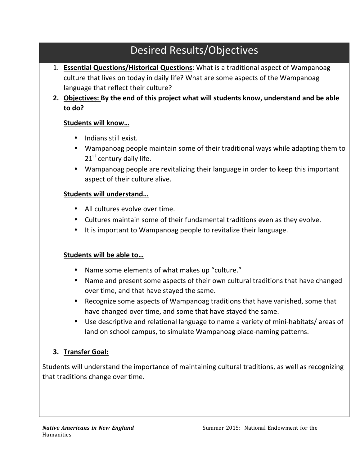## Desired Results/Objectives

- 1. **Essential Questions/Historical Questions**: What is a traditional aspect of Wampanoag culture that lives on today in daily life? What are some aspects of the Wampanoag language that reflect their culture?
- 2. **Objectives: By the end of this project what will students know, understand and be able to'do?'**

### Students will know...

- $\bullet$  Indians still exist.
- Wampanoag people maintain some of their traditional ways while adapting them to  $21<sup>st</sup>$  century daily life.
- Wampanoag people are revitalizing their language in order to keep this important aspect of their culture alive.

### **Students'will'understand…**

- All cultures evolve over time.
- Cultures maintain some of their fundamental traditions even as they evolve.
- It is important to Wampanoag people to revitalize their language.

### Students will be able to...

- Name some elements of what makes up "culture."
- Name and present some aspects of their own cultural traditions that have changed over time, and that have stayed the same.
- Recognize some aspects of Wampanoag traditions that have vanished, some that have changed over time, and some that have stayed the same.
- Use descriptive and relational language to name a variety of mini-habitats/ areas of land on school campus, to simulate Wampanoag place-naming patterns.

### **3. Transfer'Goal:'**

Students will understand the importance of maintaining cultural traditions, as well as recognizing that traditions change over time.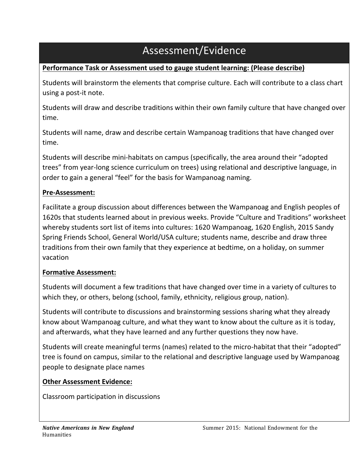# Assessment/Evidence

### Performance Task or Assessment used to gauge student learning: (Please describe)

Students will brainstorm the elements that comprise culture. Each will contribute to a class chart using a post-it note.

Students will draw and describe traditions within their own family culture that have changed over time.

Students will name, draw and describe certain Wampanoag traditions that have changed over time.

Students will describe mini-habitats on campus (specifically, the area around their "adopted trees" from year-long science curriculum on trees) using relational and descriptive language, in order to gain a general "feel" for the basis for Wampanoag naming.

### Pre-Assessment:

Facilitate a group discussion about differences between the Wampanoag and English peoples of 1620s that students learned about in previous weeks. Provide "Culture and Traditions" worksheet whereby students sort list of items into cultures: 1620 Wampanoag, 1620 English, 2015 Sandy Spring Friends School, General World/USA culture; students name, describe and draw three traditions from their own family that they experience at bedtime, on a holiday, on summer vacation

### **Formative Assessment:**

Students will document a few traditions that have changed over time in a variety of cultures to which they, or others, belong (school, family, ethnicity, religious group, nation).

Students will contribute to discussions and brainstorming sessions sharing what they already know about Wampanoag culture, and what they want to know about the culture as it is today, and afterwards, what they have learned and any further questions they now have.

Students will create meaningful terms (names) related to the micro-habitat that their "adopted" tree is found on campus, similar to the relational and descriptive language used by Wampanoag people to designate place names

### **Other Assessment Evidence:**

Classroom participation in discussions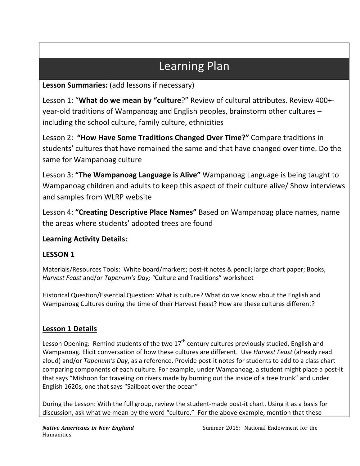# Learning Plan

### Lesson Summaries: (add lessons if necessary)

Lesson 1: "What do we mean by "culture?" Review of cultural attributes. Review 400+year-old traditions of Wampanoag and English peoples, brainstorm other cultures – including the school culture, family culture, ethnicities

Lesson 2: "How Have Some Traditions Changed Over Time?" Compare traditions in students' cultures that have remained the same and that have changed over time. Do the same for Wampanoag culture

Lesson 3: "The Wampanoag Language is Alive" Wampanoag Language is being taught to Wampanoag children and adults to keep this aspect of their culture alive/ Show interviews and samples from WLRP website

Lesson 4: "Creating Descriptive Place Names" Based on Wampanoag place names, name the areas where students' adopted trees are found

## **Learning Activity Details:**

## LESSON<sub>1</sub>

Materials/Resources Tools: White board/markers; post-it notes & pencil; large chart paper; Books, *Harvest Feast and/or Tapenum's Day; "Culture and Traditions" worksheet* 

Historical Question/Essential Question: What is culture? What do we know about the English and Wampanoag Cultures during the time of their Harvest Feast? How are these cultures different?

## Lesson 1 Details

Lesson Opening: Remind students of the two  $17<sup>th</sup>$  century cultures previously studied, English and Wampanoag. Elicit conversation of how these cultures are different. Use Harvest Feast (already read aloud) and/or *Tapenum's Day*, as a reference. Provide post-it notes for students to add to a class chart comparing components of each culture. For example, under Wampanoag, a student might place a post-it that says "Mishoon for traveling on rivers made by burning out the inside of a tree trunk" and under English 1620s, one that says "Sailboat over the ocean"

During the Lesson: With the full group, review the student-made post-it chart. Using it as a basis for discussion, ask what we mean by the word "culture." For the above example, mention that these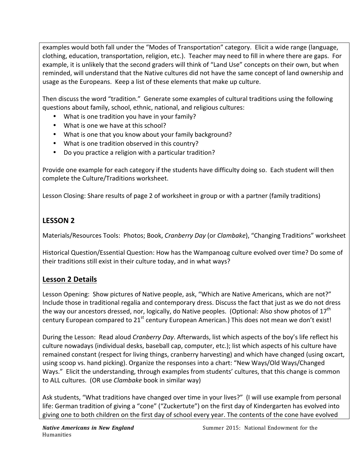examples would both fall under the "Modes of Transportation" category. Elicit a wide range (language, clothing, education, transportation, religion, etc.). Teacher may need to fill in where there are gaps. For example, it is unlikely that the second graders will think of "Land Use" concepts on their own, but when reminded, will understand that the Native cultures did not have the same concept of land ownership and usage as the Europeans. Keep a list of these elements that make up culture.

Then discuss the word "tradition." Generate some examples of cultural traditions using the following questions about family, school, ethnic, national, and religious cultures:

- What is one tradition you have in your family?
- What is one we have at this school?
- What is one that you know about your family background?
- What is one tradition observed in this country?
- Do you practice a religion with a particular tradition?

Provide one example for each category if the students have difficulty doing so. Each student will then complete the Culture/Traditions worksheet.

Lesson Closing: Share results of page 2 of worksheet in group or with a partner (family traditions)

## **LESSON'2'**

Materials/Resources Tools: Photos; Book, *Cranberry Day* (or *Clambake*), "Changing Traditions" worksheet

Historical Question/Essential Question: How has the Wampanoag culture evolved over time? Do some of their traditions still exist in their culture today, and in what ways?

## **Lesson 2 Details**

Lesson Opening: Show pictures of Native people, ask, "Which are Native Americans, which are not?" Include those in traditional regalia and contemporary dress. Discuss the fact that just as we do not dress the way our ancestors dressed, nor, logically, do Native peoples. (Optional: Also show photos of  $17<sup>th</sup>$ century European compared to 21<sup>st</sup> century European American.) This does not mean we don't exist!

During the Lesson: Read aloud *Cranberry Day*. Afterwards, list which aspects of the boy's life reflect his culture nowadays (individual desks, baseball cap, computer, etc.); list which aspects of his culture have remained constant (respect for living things, cranberry harvesting) and which have changed (using oxcart, using scoop vs. hand picking). Organize the responses into a chart: "New Ways/Old Ways/Changed Ways." Elicit the understanding, through examples from students' cultures, that this change is common to ALL cultures. (OR use *Clambake* book in similar way)

Ask students, "What traditions have changed over time in your lives?" (I will use example from personal life: German tradition of giving a "cone" ("Zuckertute") on the first day of Kindergarten has evolved into giving one to both children on the first day of school every year. The contents of the cone have evolved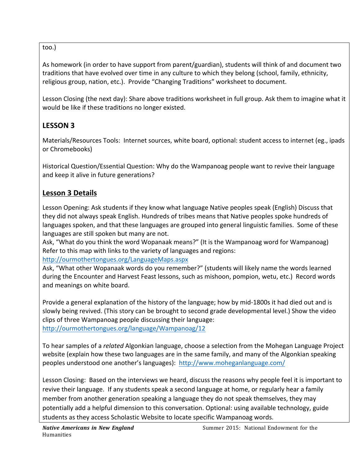$\mathsf{too}$ 

As homework (in order to have support from parent/guardian), students will think of and document two traditions that have evolved over time in any culture to which they belong (school, family, ethnicity, religious group, nation, etc.). Provide "Changing Traditions" worksheet to document.

Lesson Closing (the next day): Share above traditions worksheet in full group. Ask them to imagine what it would be like if these traditions no longer existed.

## **LESSON'3'**

Materials/Resources Tools: Internet sources, white board, optional: student access to internet (eg., ipads or Chromebooks)

Historical Question/Essential Question: Why do the Wampanoag people want to revive their language and keep it alive in future generations?

### **Lesson 3 Details**

Lesson Opening: Ask students if they know what language Native peoples speak (English) Discuss that they did not always speak English. Hundreds of tribes means that Native peoples spoke hundreds of languages spoken, and that these languages are grouped into general linguistic families. Some of these languages are still spoken but many are not.

Ask, "What do you think the word Wopanaak means?" (It is the Wampanoag word for Wampanoag) Refer to this map with links to the variety of languages and regions:

http://ourmothertongues.org/LanguageMaps.aspx

Ask, "What other Wopanaak words do you remember?" (students will likely name the words learned during the Encounter and Harvest Feast lessons, such as mishoon, pompion, wetu, etc.) Record words and meanings on white board.

Provide a general explanation of the history of the language; how by mid-1800s it had died out and is slowly being revived. (This story can be brought to second grade developmental level.) Show the video clips of three Wampanoag people discussing their language: http://ourmothertongues.org/language/Wampanoag/12

To hear samples of a *related* Algonkian language, choose a selection from the Mohegan Language Project website (explain how these two languages are in the same family, and many of the Algonkian speaking peoples understood one another's languages): http://www.moheganlanguage.com/

Lesson Closing: Based on the interviews we heard, discuss the reasons why people feel it is important to revive their language. If any students speak a second language at home, or regularly hear a family member from another generation speaking a language they do not speak themselves, they may potentially add a helpful dimension to this conversation. Optional: using available technology, guide students as they access Scholastic Website to locate specific Wampanoag words.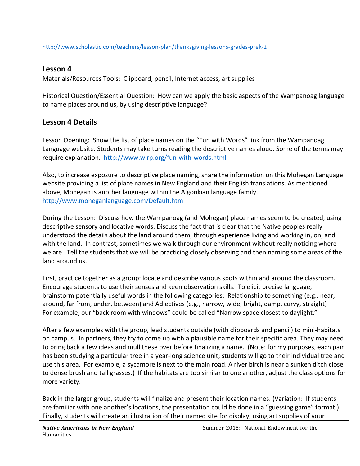http://www.scholastic.com/teachers/lesson-plan/thanksgiving-lessons-grades-prek-2

### **Lesson'4'**

Materials/Resources Tools: Clipboard, pencil, Internet access, art supplies

Historical Question/Essential Question: How can we apply the basic aspects of the Wampanoag language to name places around us, by using descriptive language?

## Lesson 4 Details

Lesson Opening: Show the list of place names on the "Fun with Words" link from the Wampanoag Language website. Students may take turns reading the descriptive names aloud. Some of the terms may require explanation. http://www.wlrp.org/fun-with-words.html

Also, to increase exposure to descriptive place naming, share the information on this Mohegan Language website providing a list of place names in New England and their English translations. As mentioned above, Mohegan is another language within the Algonkian language family. http://www.moheganlanguage.com/Default.htm

During the Lesson: Discuss how the Wampanoag (and Mohegan) place names seem to be created, using descriptive sensory and locative words. Discuss the fact that is clear that the Native peoples really understood the details about the land around them, through experience living and working in, on, and with the land. In contrast, sometimes we walk through our environment without really noticing where we are. Tell the students that we will be practicing closely observing and then naming some areas of the land around us.

First, practice together as a group: locate and describe various spots within and around the classroom. Encourage students to use their senses and keen observation skills. To elicit precise language, brainstorm potentially useful words in the following categories: Relationship to something (e.g., near, around, far from, under, between) and Adjectives (e.g., narrow, wide, bright, damp, curvy, straight) For example, our "back room with windows" could be called "Narrow space closest to daylight."

After a few examples with the group, lead students outside (with clipboards and pencil) to mini-habitats on campus. In partners, they try to come up with a plausible name for their specific area. They may need to bring back a few ideas and mull these over before finalizing a name. (Note: for my purposes, each pair has been studying a particular tree in a year-long science unit; students will go to their individual tree and use this area. For example, a sycamore is next to the main road. A river birch is near a sunken ditch close to dense brush and tall grasses.) If the habitats are too similar to one another, adjust the class options for more variety.

Back in the larger group, students will finalize and present their location names. (Variation: If students are familiar with one another's locations, the presentation could be done in a "guessing game" format.) Finally, students will create an illustration of their named site for display, using art supplies of your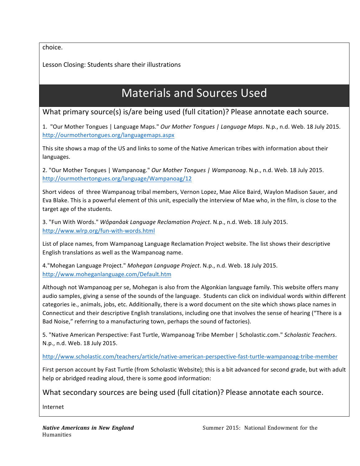choice.

Lesson Closing: Students share their illustrations

# **Materials and Sources Used**

What primary source(s) is/are being used (full citation)? Please annotate each source.

1. "Our Mother Tongues | Language Maps." *Our Mother Tongues | Language Maps*. N.p., n.d. Web. 18 July 2015. http://ourmothertongues.org/languagemaps.aspx

This site shows a map of the US and links to some of the Native American tribes with information about their languages.

2. "Our Mother Tongues | Wampanoag." *Our Mother Tongues | Wampanoag*. N.p., n.d. Web. 18 July 2015. http://ourmothertongues.org/language/Wampanoag/12

Short videos of three Wampanoag tribal members, Vernon Lopez, Mae Alice Baird, Waylon Madison Sauer, and Eva Blake. This is a powerful element of this unit, especially the interview of Mae who, in the film, is close to the target age of the students.

3. "Fun With Words." Wôpanâak Language Reclamation Project. N.p., n.d. Web. 18 July 2015. http://www.wlrp.org/fun-with-words.html

List of place names, from Wampanoag Language Reclamation Project website. The list shows their descriptive English translations as well as the Wampanoag name.

4."Mohegan Language Project." *Mohegan Language Project*. N.p., n.d. Web. 18 July 2015. http://www.moheganlanguage.com/Default.htm

Although not Wampanoag per se, Mohegan is also from the Algonkian language family. This website offers many audio samples, giving a sense of the sounds of the language. Students can click on individual words within different categories ie., animals, jobs, etc. Additionally, there is a word document on the site which shows place names in Connecticut and their descriptive English translations, including one that involves the sense of hearing ("There is a Bad Noise," referring to a manufacturing town, perhaps the sound of factories).

5. "Native American Perspective: Fast Turtle, Wampanoag Tribe Member | Scholastic.com." *Scholastic Teachers*. N.p., n.d. Web. 18 July 2015.

http://www.scholastic.com/teachers/article/native-american-perspective-fast-turtle-wampanoag-tribe-member

First person account by Fast Turtle (from Scholastic Website); this is a bit advanced for second grade, but with adult help or abridged reading aloud, there is some good information:

What secondary sources are being used (full citation)? Please annotate each source.

Internet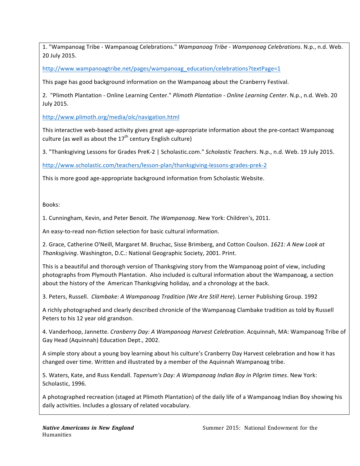1. "Wampanoag Tribe - Wampanoag Celebrations." *Wampanoag Tribe - Wampanoag Celebrations*. N.p., n.d. Web. 20 July 2015.

http://www.wampanoagtribe.net/pages/wampanoag\_education/celebrations?textPage=1

This page has good background information on the Wampanoag about the Cranberry Festival.

2. "Plimoth Plantation - Online Learning Center." *Plimoth Plantation - Online Learning Center*. N.p., n.d. Web. 20 July 2015.

http://www.plimoth.org/media/olc/navigation.html

This interactive web-based activity gives great age-appropriate information about the pre-contact Wampanoag culture (as well as about the  $17<sup>th</sup>$  century English culture)

3. "Thanksgiving Lessons for Grades PreK-2 | Scholastic.com." *Scholastic Teachers*. N.p., n.d. Web. 19 July 2015.

http://www.scholastic.com/teachers/lesson-plan/thanksgiving-lessons-grades-prek-2

This is more good age-appropriate background information from Scholastic Website.

Books:

1. Cunningham, Kevin, and Peter Benoit. The Wampanoag. New York: Children's, 2011.

An easy-to-read non-fiction selection for basic cultural information.

2. Grace, Catherine O'Neill, Margaret M. Bruchac, Sisse Brimberg, and Cotton Coulson. *1621: A New Look at Thanksgiving.* Washington, D.C.: National Geographic Society, 2001. Print.

This is a beautiful and thorough version of Thanksgiving story from the Wampanoag point of view, including photographs from Plymouth Plantation. Also included is cultural information about the Wampanoag, a section about the history of the American Thanksgiving holiday, and a chronology at the back.

3. Peters, Russell. Clambake: A Wampanoag Tradition (We Are Still Here). Lerner Publishing Group. 1992

A richly photographed and clearly described chronicle of the Wampanoag Clambake tradition as told by Russell Peters to his 12 year old grandson.

4. Vanderhoop, Jannette. *Cranberry Day: A Wampanoag Harvest Celebration*. Acquinnah, MA: Wampanoag Tribe of Gay Head (Aquinnah) Education Dept., 2002.

A simple story about a young boy learning about his culture's Cranberry Day Harvest celebration and how it has changed over time. Written and illustrated by a member of the Aquinnah Wampanoag tribe.

5. Waters, Kate, and Russ Kendall. *Tapenum's Day: A Wampanoag Indian Boy in Pilgrim times*. New York: Scholastic, 1996.

A photographed recreation (staged at Plimoth Plantation) of the daily life of a Wampanoag Indian Boy showing his daily activities. Includes a glossary of related vocabulary.